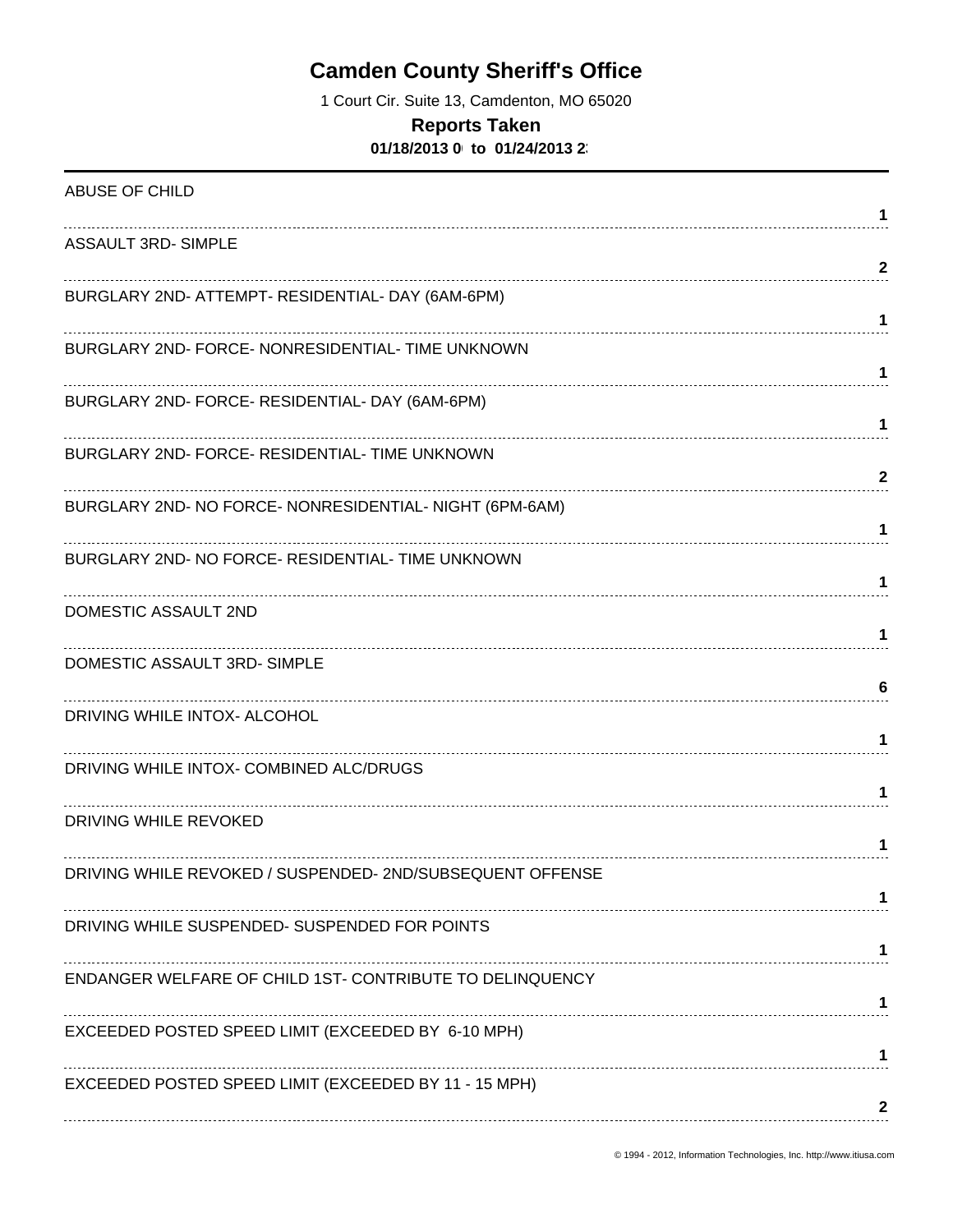1 Court Cir. Suite 13, Camdenton, MO 65020

#### **Reports Taken**

**01/18/2013 0 to 01/24/2013 2** 

| ABUSE OF CHILD                                            | 1            |
|-----------------------------------------------------------|--------------|
| <b>ASSAULT 3RD- SIMPLE</b>                                | $\mathbf{2}$ |
| BURGLARY 2ND- ATTEMPT- RESIDENTIAL- DAY (6AM-6PM)         | 1            |
| BURGLARY 2ND- FORCE- NONRESIDENTIAL- TIME UNKNOWN         | 1            |
| BURGLARY 2ND- FORCE- RESIDENTIAL- DAY (6AM-6PM)           | 1            |
| BURGLARY 2ND- FORCE- RESIDENTIAL- TIME UNKNOWN            | 2            |
| BURGLARY 2ND- NO FORCE- NONRESIDENTIAL- NIGHT (6PM-6AM)   | 1            |
| BURGLARY 2ND- NO FORCE- RESIDENTIAL- TIME UNKNOWN         | 1            |
| DOMESTIC ASSAULT 2ND                                      | 1            |
| DOMESTIC ASSAULT 3RD-SIMPLE                               | 6            |
| DRIVING WHILE INTOX- ALCOHOL                              | 1.           |
| DRIVING WHILE INTOX- COMBINED ALC/DRUGS                   | 1.           |
| DRIVING WHILE REVOKED                                     | 1            |
| DRIVING WHILE REVOKED / SUSPENDED- 2ND/SUBSEQUENT OFFENSE |              |
| DRIVING WHILE SUSPENDED- SUSPENDED FOR POINTS             |              |
| ENDANGER WELFARE OF CHILD 1ST- CONTRIBUTE TO DELINQUENCY  |              |
| EXCEEDED POSTED SPEED LIMIT (EXCEEDED BY 6-10 MPH)        |              |
| EXCEEDED POSTED SPEED LIMIT (EXCEEDED BY 11 - 15 MPH)     |              |
|                                                           | 2            |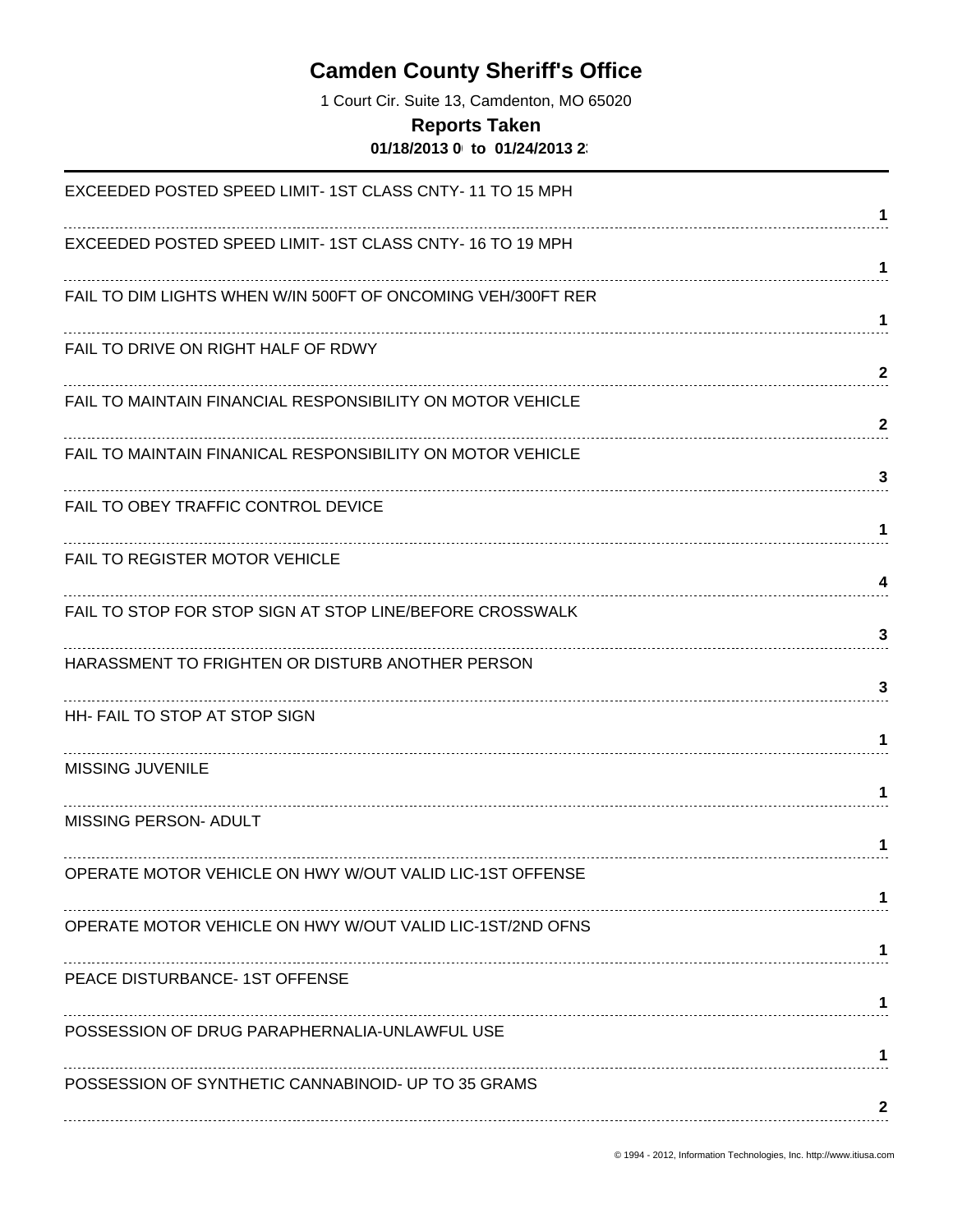1 Court Cir. Suite 13, Camdenton, MO 65020

#### **Reports Taken**

**01/18/2013 0 to 01/24/2013 2** 

| EXCEEDED POSTED SPEED LIMIT-1ST CLASS CNTY-11 TO 15 MPH      |                              |
|--------------------------------------------------------------|------------------------------|
| EXCEEDED POSTED SPEED LIMIT-1ST CLASS CNTY-16 TO 19 MPH      | 1                            |
| FAIL TO DIM LIGHTS WHEN W/IN 500FT OF ONCOMING VEH/300FT RER | 1                            |
| FAIL TO DRIVE ON RIGHT HALF OF RDWY                          | $\mathbf 1$                  |
| FAIL TO MAINTAIN FINANCIAL RESPONSIBILITY ON MOTOR VEHICLE   | $\mathbf{2}$<br>$\mathbf{2}$ |
| FAIL TO MAINTAIN FINANICAL RESPONSIBILITY ON MOTOR VEHICLE   | 3                            |
| FAIL TO OBEY TRAFFIC CONTROL DEVICE                          | 1                            |
| FAIL TO REGISTER MOTOR VEHICLE                               | 4                            |
| FAIL TO STOP FOR STOP SIGN AT STOP LINE/BEFORE CROSSWALK     | 3                            |
| HARASSMENT TO FRIGHTEN OR DISTURB ANOTHER PERSON             | 3                            |
| HH- FAIL TO STOP AT STOP SIGN                                | 1                            |
| <b>MISSING JUVENILE</b>                                      | 1                            |
| <b>MISSING PERSON- ADULT</b>                                 | 1                            |
| OPERATE MOTOR VEHICLE ON HWY W/OUT VALID LIC-1ST OFFENSE     |                              |
| OPERATE MOTOR VEHICLE ON HWY W/OUT VALID LIC-1ST/2ND OFNS    | 1                            |
| PEACE DISTURBANCE- 1ST OFFENSE                               | 1                            |
| POSSESSION OF DRUG PARAPHERNALIA-UNLAWFUL USE                | 1                            |
| POSSESSION OF SYNTHETIC CANNABINOID- UP TO 35 GRAMS          | 2                            |
|                                                              |                              |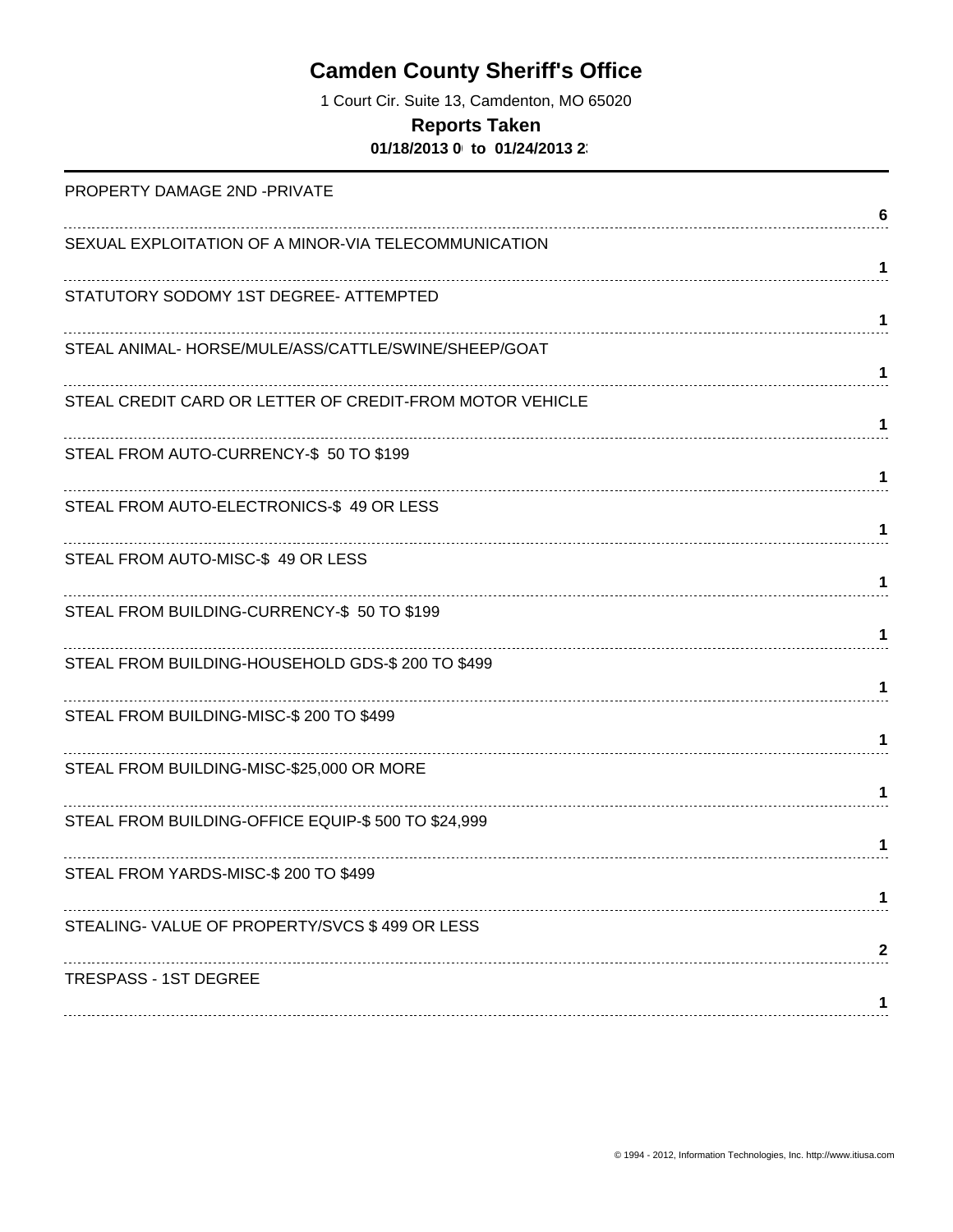1 Court Cir. Suite 13, Camdenton, MO 65020

### **Reports Taken**

**01/18/2013 0 to 01/24/2013 2** 

| PROPERTY DAMAGE 2ND -PRIVATE                             |   |
|----------------------------------------------------------|---|
|                                                          | 6 |
| SEXUAL EXPLOITATION OF A MINOR-VIA TELECOMMUNICATION     |   |
|                                                          | 1 |
| STATUTORY SODOMY 1ST DEGREE- ATTEMPTED                   |   |
|                                                          | 1 |
| STEAL ANIMAL-HORSE/MULE/ASS/CATTLE/SWINE/SHEEP/GOAT      | 1 |
| STEAL CREDIT CARD OR LETTER OF CREDIT-FROM MOTOR VEHICLE |   |
|                                                          | 1 |
| STEAL FROM AUTO-CURRENCY-\$ 50 TO \$199                  |   |
|                                                          | 1 |
| STEAL FROM AUTO-ELECTRONICS-\$49 OR LESS                 |   |
|                                                          | 1 |
| STEAL FROM AUTO-MISC-\$49 OR LESS                        |   |
|                                                          | 1 |
| STEAL FROM BUILDING-CURRENCY-\$ 50 TO \$199              |   |
|                                                          |   |
| STEAL FROM BUILDING-HOUSEHOLD GDS-\$ 200 TO \$499        | 1 |
| STEAL FROM BUILDING-MISC-\$ 200 TO \$499                 |   |
|                                                          | 1 |
| STEAL FROM BUILDING-MISC-\$25,000 OR MORE                |   |
|                                                          | 1 |
| STEAL FROM BUILDING-OFFICE EQUIP-\$ 500 TO \$24,999      |   |
|                                                          | 1 |
| STEAL FROM YARDS-MISC-\$ 200 TO \$499                    |   |
|                                                          |   |
| STEALING-VALUE OF PROPERTY/SVCS \$499 OR LESS            |   |
|                                                          | 2 |
| <b>TRESPASS - 1ST DEGREE</b>                             |   |
|                                                          |   |